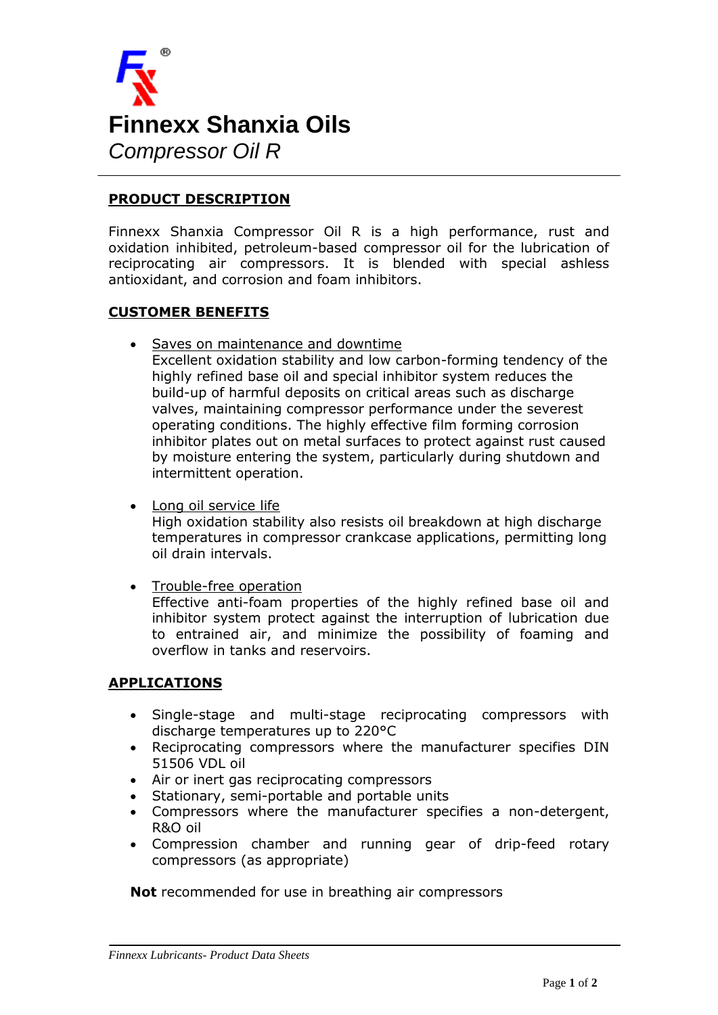

### **PRODUCT DESCRIPTION**

Finnexx Shanxia Compressor Oil R is a high performance, rust and oxidation inhibited, petroleum-based compressor oil for the lubrication of reciprocating air compressors. It is blended with special ashless antioxidant, and corrosion and foam inhibitors.

#### **CUSTOMER BENEFITS**

Saves on maintenance and downtime

Excellent oxidation stability and low carbon-forming tendency of the highly refined base oil and special inhibitor system reduces the build-up of harmful deposits on critical areas such as discharge valves, maintaining compressor performance under the severest operating conditions. The highly effective film forming corrosion inhibitor plates out on metal surfaces to protect against rust caused by moisture entering the system, particularly during shutdown and intermittent operation.

Long oil service life

High oxidation stability also resists oil breakdown at high discharge temperatures in compressor crankcase applications, permitting long oil drain intervals.

Trouble-free operation

Effective anti-foam properties of the highly refined base oil and inhibitor system protect against the interruption of lubrication due to entrained air, and minimize the possibility of foaming and overflow in tanks and reservoirs.

#### **APPLICATIONS**

- Single-stage and multi-stage reciprocating compressors with discharge temperatures up to 220°C
- Reciprocating compressors where the manufacturer specifies DIN 51506 VDL oil
- Air or inert gas reciprocating compressors
- Stationary, semi-portable and portable units
- Compressors where the manufacturer specifies a non-detergent, R&O oil
- Compression chamber and running gear of drip-feed rotary compressors (as appropriate)

**Not** recommended for use in breathing air compressors